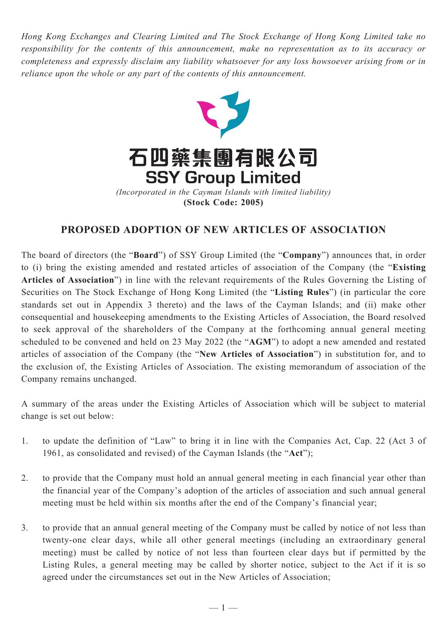*Hong Kong Exchanges and Clearing Limited and The Stock Exchange of Hong Kong Limited take no responsibility for the contents of this announcement, make no representation as to its accuracy or completeness and expressly disclaim any liability whatsoever for any loss howsoever arising from or in reliance upon the whole or any part of the contents of this announcement.*



# **PROPOSED ADOPTION OF NEW ARTICLES OF ASSOCIATION**

The board of directors (the "**Board**") of SSY Group Limited (the "**Company**") announces that, in order to (i) bring the existing amended and restated articles of association of the Company (the "**Existing Articles of Association**") in line with the relevant requirements of the Rules Governing the Listing of Securities on The Stock Exchange of Hong Kong Limited (the "**Listing Rules**") (in particular the core standards set out in Appendix 3 thereto) and the laws of the Cayman Islands; and (ii) make other consequential and housekeeping amendments to the Existing Articles of Association, the Board resolved to seek approval of the shareholders of the Company at the forthcoming annual general meeting scheduled to be convened and held on 23 May 2022 (the "**AGM**") to adopt a new amended and restated articles of association of the Company (the "**New Articles of Association**") in substitution for, and to the exclusion of, the Existing Articles of Association. The existing memorandum of association of the Company remains unchanged.

A summary of the areas under the Existing Articles of Association which will be subject to material change is set out below:

- 1. to update the definition of "Law" to bring it in line with the Companies Act, Cap. 22 (Act 3 of 1961, as consolidated and revised) of the Cayman Islands (the "**Act**");
- 2. to provide that the Company must hold an annual general meeting in each financial year other than the financial year of the Company's adoption of the articles of association and such annual general meeting must be held within six months after the end of the Company's financial year;
- 3. to provide that an annual general meeting of the Company must be called by notice of not less than twenty-one clear days, while all other general meetings (including an extraordinary general meeting) must be called by notice of not less than fourteen clear days but if permitted by the Listing Rules, a general meeting may be called by shorter notice, subject to the Act if it is so agreed under the circumstances set out in the New Articles of Association;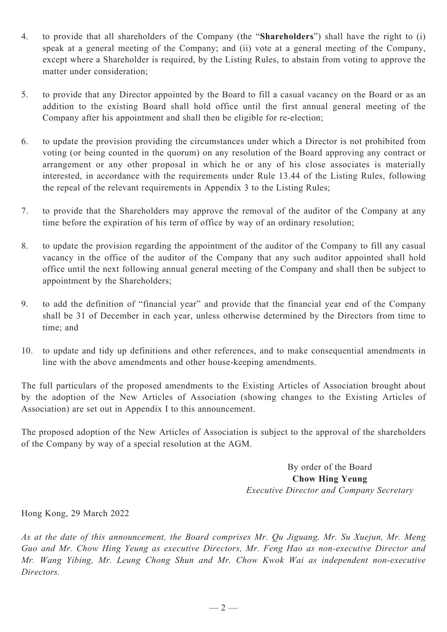- 4. to provide that all shareholders of the Company (the "**Shareholders**") shall have the right to (i) speak at a general meeting of the Company; and (ii) vote at a general meeting of the Company, except where a Shareholder is required, by the Listing Rules, to abstain from voting to approve the matter under consideration;
- 5. to provide that any Director appointed by the Board to fill a casual vacancy on the Board or as an addition to the existing Board shall hold office until the first annual general meeting of the Company after his appointment and shall then be eligible for re-election;
- 6. to update the provision providing the circumstances under which a Director is not prohibited from voting (or being counted in the quorum) on any resolution of the Board approving any contract or arrangement or any other proposal in which he or any of his close associates is materially interested, in accordance with the requirements under Rule 13.44 of the Listing Rules, following the repeal of the relevant requirements in Appendix 3 to the Listing Rules;
- 7. to provide that the Shareholders may approve the removal of the auditor of the Company at any time before the expiration of his term of office by way of an ordinary resolution;
- 8. to update the provision regarding the appointment of the auditor of the Company to fill any casual vacancy in the office of the auditor of the Company that any such auditor appointed shall hold office until the next following annual general meeting of the Company and shall then be subject to appointment by the Shareholders;
- 9. to add the definition of "financial year" and provide that the financial year end of the Company shall be 31 of December in each year, unless otherwise determined by the Directors from time to time; and
- 10. to update and tidy up definitions and other references, and to make consequential amendments in line with the above amendments and other house-keeping amendments.

The full particulars of the proposed amendments to the Existing Articles of Association brought about by the adoption of the New Articles of Association (showing changes to the Existing Articles of Association) are set out in Appendix I to this announcement.

The proposed adoption of the New Articles of Association is subject to the approval of the shareholders of the Company by way of a special resolution at the AGM.

> By order of the Board **Chow Hing Yeung** *Executive Director and Company Secretary*

Hong Kong, 29 March 2022

*As at the date of this announcement, the Board comprises Mr. Qu Jiguang, Mr. Su Xuejun, Mr. Meng Guo and Mr. Chow Hing Yeung as executive Directors, Mr. Feng Hao as non-executive Director and Mr. Wang Yibing, Mr. Leung Chong Shun and Mr. Chow Kwok Wai as independent non-executive Directors.*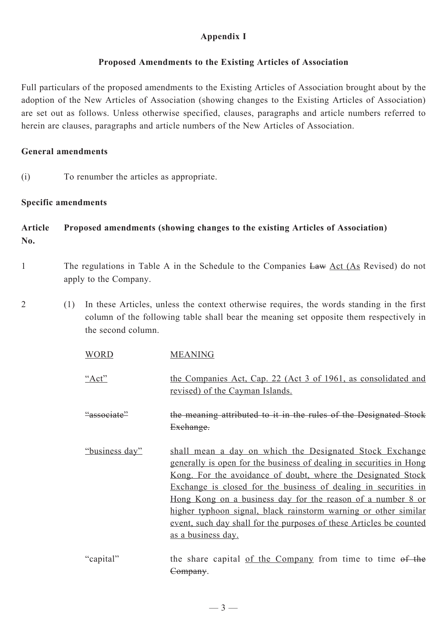# **Appendix I**

## **Proposed Amendments to the Existing Articles of Association**

Full particulars of the proposed amendments to the Existing Articles of Association brought about by the adoption of the New Articles of Association (showing changes to the Existing Articles of Association) are set out as follows. Unless otherwise specified, clauses, paragraphs and article numbers referred to herein are clauses, paragraphs and article numbers of the New Articles of Association.

### **General amendments**

(i) To renumber the articles as appropriate.

## **Specific amendments**

# **Article Proposed amendments (showing changes to the existing Articles of Association) No.**

- 1 The regulations in Table A in the Schedule to the Companies Law Act (As Revised) do not apply to the Company.
- 2 (1) In these Articles, unless the context otherwise requires, the words standing in the first column of the following table shall bear the meaning set opposite them respectively in the second column.

| <b>WORD</b>    | <b>MEANING</b>                                                                                                                                                                                                                                                                                                                                                                                                                                                                                                 |
|----------------|----------------------------------------------------------------------------------------------------------------------------------------------------------------------------------------------------------------------------------------------------------------------------------------------------------------------------------------------------------------------------------------------------------------------------------------------------------------------------------------------------------------|
| " $Act"$       | the Companies Act, Cap. 22 (Act 3 of 1961, as consolidated and<br>revised) of the Cayman Islands.                                                                                                                                                                                                                                                                                                                                                                                                              |
| "associate"    | the meaning attributed to it in the rules of the Designated Stock<br>Exchange.                                                                                                                                                                                                                                                                                                                                                                                                                                 |
| "business day" | shall mean a day on which the Designated Stock Exchange<br>generally is open for the business of dealing in securities in Hong<br><u>Kong. For the avoidance of doubt, where the Designated Stock</u><br>Exchange is closed for the business of dealing in securities in<br><u>Hong Kong on a business day for the reason of a number 8 or</u><br>higher typhoon signal, black rainstorm warning or other similar<br>event, such day shall for the purposes of these Articles be counted<br>as a business day. |
| "capital"      | the share capital of the Company from time to time of the                                                                                                                                                                                                                                                                                                                                                                                                                                                      |

Company.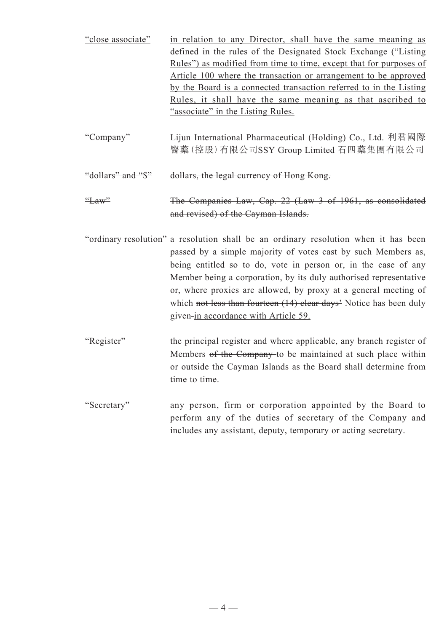| "close associate"  | in relation to any Director, shall have the same meaning as               |
|--------------------|---------------------------------------------------------------------------|
|                    | defined in the rules of the Designated Stock Exchange ("Listing")         |
|                    | <u>Rules")</u> as modified from time to time, except that for purposes of |
|                    | Article 100 where the transaction or arrangement to be approved           |
|                    | by the Board is a connected transaction referred to in the Listing        |
|                    | <u>Rules, it shall have the same meaning as that ascribed to</u>          |
|                    | "associate" in the Listing Rules.                                         |
|                    |                                                                           |
| "Company"          | Lijun International Pharmaceutical (Holding) Co., Ltd. 利君國際               |
|                    | 醫藥(控股)有限公司SSY Group Limited 石四藥集團有限公司                                     |
|                    |                                                                           |
| "dollars" and "\$" | dollars, the legal currency of Hong Kong.                                 |
| $\frac{``}{ }$ aw" |                                                                           |
|                    | The Companies Law, Cap. 22 (Law 3 of 1961, as consolidated                |
|                    | and revised) of the Cayman Islands.                                       |

"ordinary resolution" a resolution shall be an ordinary resolution when it has been passed by a simple majority of votes cast by such Members as, being entitled so to do, vote in person or, in the case of any Member being a corporation, by its duly authorised representative or, where proxies are allowed, by proxy at a general meeting of which not less than fourteen (14) clear days' Notice has been duly given-in accordance with Article 59.

"Register" the principal register and where applicable, any branch register of Members of the Company to be maintained at such place within or outside the Cayman Islands as the Board shall determine from time to time.

"Secretary" any person, firm or corporation appointed by the Board to perform any of the duties of secretary of the Company and includes any assistant, deputy, temporary or acting secretary.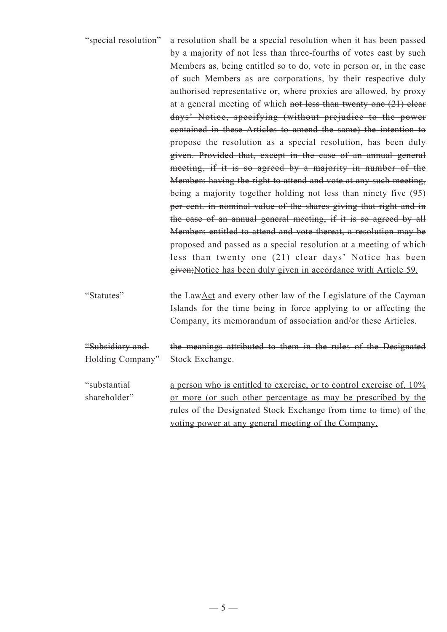| "special resolution"                | a resolution shall be a special resolution when it has been passed<br>by a majority of not less than three-fourths of votes cast by such<br>Members as, being entitled so to do, vote in person or, in the case<br>of such Members as are corporations, by their respective duly<br>authorised representative or, where proxies are allowed, by proxy<br>at a general meeting of which not less than twenty one $(21)$ clear<br>days' Notice, specifying (without prejudice to the power<br>contained in these Articles to amend the same) the intention to<br>propose the resolution as a special resolution, has been duly<br>given. Provided that, except in the case of an annual general<br>meeting, if it is so agreed by a majority in number of the<br>Members having the right to attend and vote at any such meeting,<br>being a majority together holding not less than ninety five (95)<br>per cent. in nominal value of the shares giving that right and in<br>the case of an annual general meeting, if it is so agreed by all<br>Members entitled to attend and vote thereat, a resolution may be<br>proposed and passed as a special resolution at a meeting of which<br>less than twenty one (21) clear days' Notice has been<br>given; Notice has been duly given in accordance with Article 59. |
|-------------------------------------|--------------------------------------------------------------------------------------------------------------------------------------------------------------------------------------------------------------------------------------------------------------------------------------------------------------------------------------------------------------------------------------------------------------------------------------------------------------------------------------------------------------------------------------------------------------------------------------------------------------------------------------------------------------------------------------------------------------------------------------------------------------------------------------------------------------------------------------------------------------------------------------------------------------------------------------------------------------------------------------------------------------------------------------------------------------------------------------------------------------------------------------------------------------------------------------------------------------------------------------------------------------------------------------------------------------------|
| "Statutes"                          | the LawAct and every other law of the Legislature of the Cayman<br>Islands for the time being in force applying to or affecting the<br>Company, its memorandum of association and/or these Articles.                                                                                                                                                                                                                                                                                                                                                                                                                                                                                                                                                                                                                                                                                                                                                                                                                                                                                                                                                                                                                                                                                                               |
| "Subsidiary and<br>Holding Company" | the meanings attributed to them in the rules of the Designated<br>Stock Exchange.                                                                                                                                                                                                                                                                                                                                                                                                                                                                                                                                                                                                                                                                                                                                                                                                                                                                                                                                                                                                                                                                                                                                                                                                                                  |
| "substantial<br>shareholder"        | a person who is entitled to exercise, or to control exercise of, 10%<br>or more (or such other percentage as may be prescribed by the<br>rules of the Designated Stock Exchange from time to time) of the<br>voting power at any general meeting of the Company.                                                                                                                                                                                                                                                                                                                                                                                                                                                                                                                                                                                                                                                                                                                                                                                                                                                                                                                                                                                                                                                   |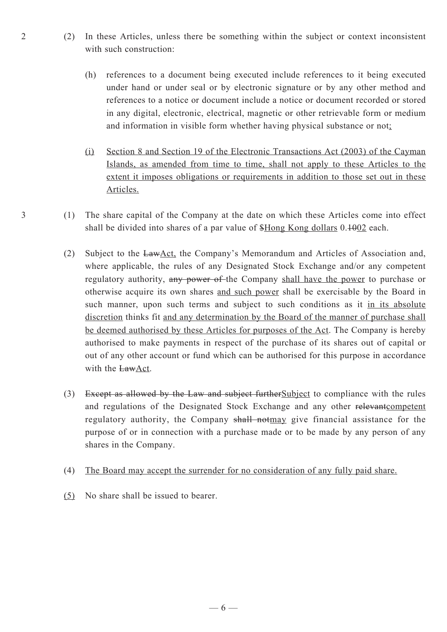- 2 (2) In these Articles, unless there be something within the subject or context inconsistent with such construction:
	- (h) references to a document being executed include references to it being executed under hand or under seal or by electronic signature or by any other method and references to a notice or document include a notice or document recorded or stored in any digital, electronic, electrical, magnetic or other retrievable form or medium and information in visible form whether having physical substance or not;
	- (i) Section 8 and Section 19 of the Electronic Transactions Act (2003) of the Cayman Islands, as amended from time to time, shall not apply to these Articles to the extent it imposes obligations or requirements in addition to those set out in these Articles.
- 3 (1) The share capital of the Company at the date on which these Articles come into effect shall be divided into shares of a par value of \$Hong Kong dollars 0.1002 each.
	- (2) Subject to the LawAct, the Company's Memorandum and Articles of Association and, where applicable, the rules of any Designated Stock Exchange and/or any competent regulatory authority, any power of the Company shall have the power to purchase or otherwise acquire its own shares and such power shall be exercisable by the Board in such manner, upon such terms and subject to such conditions as it in its absolute discretion thinks fit and any determination by the Board of the manner of purchase shall be deemed authorised by these Articles for purposes of the Act. The Company is hereby authorised to make payments in respect of the purchase of its shares out of capital or out of any other account or fund which can be authorised for this purpose in accordance with the LawAct.
	- (3) Except as allowed by the Law and subject furtherSubject to compliance with the rules and regulations of the Designated Stock Exchange and any other relevantcompetent regulatory authority, the Company shall notmay give financial assistance for the purpose of or in connection with a purchase made or to be made by any person of any shares in the Company.
	- (4) The Board may accept the surrender for no consideration of any fully paid share.
	- (5) No share shall be issued to bearer.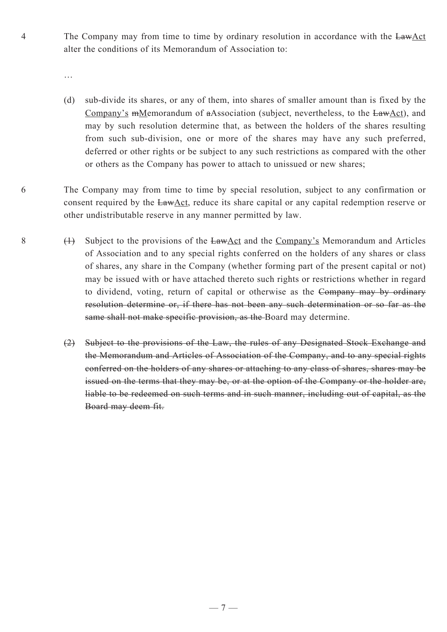4 The Company may from time to time by ordinary resolution in accordance with the LawAct alter the conditions of its Memorandum of Association to:

- (d) sub-divide its shares, or any of them, into shares of smaller amount than is fixed by the Company's mMemorandum of aAssociation (subject, nevertheless, to the LawAct), and may by such resolution determine that, as between the holders of the shares resulting from such sub-division, one or more of the shares may have any such preferred, deferred or other rights or be subject to any such restrictions as compared with the other or others as the Company has power to attach to unissued or new shares;
- 6 The Company may from time to time by special resolution, subject to any confirmation or consent required by the LawAct, reduce its share capital or any capital redemption reserve or other undistributable reserve in any manner permitted by law.
- 8  $(1)$  Subject to the provisions of the LawAct and the Company's Memorandum and Articles of Association and to any special rights conferred on the holders of any shares or class of shares, any share in the Company (whether forming part of the present capital or not) may be issued with or have attached thereto such rights or restrictions whether in regard to dividend, voting, return of capital or otherwise as the Company may by ordinary resolution determine or, if there has not been any such determination or so far as the same shall not make specific provision, as the Board may determine.
	- (2) Subject to the provisions of the Law, the rules of any Designated Stock Exchange and the Memorandum and Articles of Association of the Company, and to any special rights conferred on the holders of any shares or attaching to any class of shares, shares may be issued on the terms that they may be, or at the option of the Company or the holder are, liable to be redeemed on such terms and in such manner, including out of capital, as the Board may deem fit.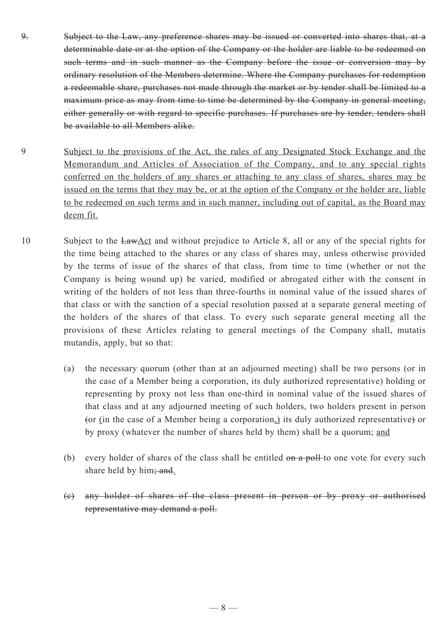- 9. Subject to the Law, any preference shares may be issued or converted into shares that, at a determinable date or at the option of the Company or the holder are liable to be redeemed on such terms and in such manner as the Company before the issue or conversion may by ordinary resolution of the Members determine. Where the Company purchases for redemption a redeemable share, purchases not made through the market or by tender shall be limited to a maximum price as may from time to time be determined by the Company in general meeting, either generally or with regard to specific purchases. If purchases are by tender, tenders shall be available to all Members alike.
- 9 Subject to the provisions of the Act, the rules of any Designated Stock Exchange and the Memorandum and Articles of Association of the Company, and to any special rights conferred on the holders of any shares or attaching to any class of shares, shares may be issued on the terms that they may be, or at the option of the Company or the holder are, liable to be redeemed on such terms and in such manner, including out of capital, as the Board may deem fit.
- 10 Subject to the LawAct and without prejudice to Article 8, all or any of the special rights for the time being attached to the shares or any class of shares may, unless otherwise provided by the terms of issue of the shares of that class, from time to time (whether or not the Company is being wound up) be varied, modified or abrogated either with the consent in writing of the holders of not less than three-fourths in nominal value of the issued shares of that class or with the sanction of a special resolution passed at a separate general meeting of the holders of the shares of that class. To every such separate general meeting all the provisions of these Articles relating to general meetings of the Company shall, mutatis mutandis, apply, but so that:
	- (a) the necessary quorum (other than at an adjourned meeting) shall be two persons (or in the case of a Member being a corporation, its duly authorized representative) holding or representing by proxy not less than one-third in nominal value of the issued shares of that class and at any adjourned meeting of such holders, two holders present in person (or (in the case of a Member being a corporation,) its duly authorized representative) or by proxy (whatever the number of shares held by them) shall be a quorum; and
	- (b) every holder of shares of the class shall be entitled  $\theta$  and  $\theta$  and  $\theta$  and  $\theta$  and  $\theta$  every such share held by him; and.
	- (c) any holder of shares of the class present in person or by proxy or authorised representative may demand a poll.

 $-8-$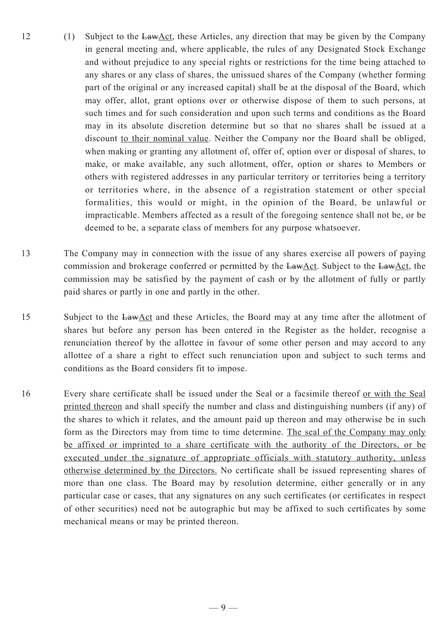- 12 (1) Subject to the  $Law \triangle ct$ , these Articles, any direction that may be given by the Company in general meeting and, where applicable, the rules of any Designated Stock Exchange and without prejudice to any special rights or restrictions for the time being attached to any shares or any class of shares, the unissued shares of the Company (whether forming part of the original or any increased capital) shall be at the disposal of the Board, which may offer, allot, grant options over or otherwise dispose of them to such persons, at such times and for such consideration and upon such terms and conditions as the Board may in its absolute discretion determine but so that no shares shall be issued at a discount to their nominal value. Neither the Company nor the Board shall be obliged, when making or granting any allotment of, offer of, option over or disposal of shares, to make, or make available, any such allotment, offer, option or shares to Members or others with registered addresses in any particular territory or territories being a territory or territories where, in the absence of a registration statement or other special formalities, this would or might, in the opinion of the Board, be unlawful or impracticable. Members affected as a result of the foregoing sentence shall not be, or be deemed to be, a separate class of members for any purpose whatsoever.
- 13 The Company may in connection with the issue of any shares exercise all powers of paying commission and brokerage conferred or permitted by the  $LawAct$ . Subject to the  $LawAct$ , the commission may be satisfied by the payment of cash or by the allotment of fully or partly paid shares or partly in one and partly in the other.
- 15 Subject to the LawAct and these Articles, the Board may at any time after the allotment of shares but before any person has been entered in the Register as the holder, recognise a renunciation thereof by the allottee in favour of some other person and may accord to any allottee of a share a right to effect such renunciation upon and subject to such terms and conditions as the Board considers fit to impose.
- 16 Every share certificate shall be issued under the Seal or a facsimile thereof or with the Seal printed thereon and shall specify the number and class and distinguishing numbers (if any) of the shares to which it relates, and the amount paid up thereon and may otherwise be in such form as the Directors may from time to time determine. The seal of the Company may only be affixed or imprinted to a share certificate with the authority of the Directors, or be executed under the signature of appropriate officials with statutory authority, unless otherwise determined by the Directors. No certificate shall be issued representing shares of more than one class. The Board may by resolution determine, either generally or in any particular case or cases, that any signatures on any such certificates (or certificates in respect of other securities) need not be autographic but may be affixed to such certificates by some mechanical means or may be printed thereon.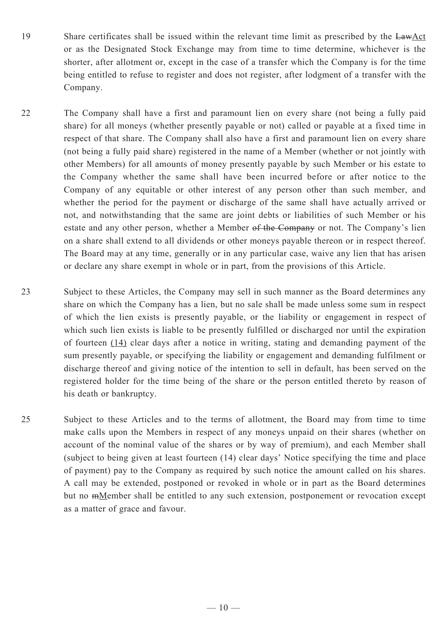- 19 Share certificates shall be issued within the relevant time limit as prescribed by the LawAct or as the Designated Stock Exchange may from time to time determine, whichever is the shorter, after allotment or, except in the case of a transfer which the Company is for the time being entitled to refuse to register and does not register, after lodgment of a transfer with the Company.
- 22 The Company shall have a first and paramount lien on every share (not being a fully paid share) for all moneys (whether presently payable or not) called or payable at a fixed time in respect of that share. The Company shall also have a first and paramount lien on every share (not being a fully paid share) registered in the name of a Member (whether or not jointly with other Members) for all amounts of money presently payable by such Member or his estate to the Company whether the same shall have been incurred before or after notice to the Company of any equitable or other interest of any person other than such member, and whether the period for the payment or discharge of the same shall have actually arrived or not, and notwithstanding that the same are joint debts or liabilities of such Member or his estate and any other person, whether a Member of the Company or not. The Company's lien on a share shall extend to all dividends or other moneys payable thereon or in respect thereof. The Board may at any time, generally or in any particular case, waive any lien that has arisen or declare any share exempt in whole or in part, from the provisions of this Article.
- 23 Subject to these Articles, the Company may sell in such manner as the Board determines any share on which the Company has a lien, but no sale shall be made unless some sum in respect of which the lien exists is presently payable, or the liability or engagement in respect of which such lien exists is liable to be presently fulfilled or discharged nor until the expiration of fourteen (14) clear days after a notice in writing, stating and demanding payment of the sum presently payable, or specifying the liability or engagement and demanding fulfilment or discharge thereof and giving notice of the intention to sell in default, has been served on the registered holder for the time being of the share or the person entitled thereto by reason of his death or bankruptcy.
- 25 Subject to these Articles and to the terms of allotment, the Board may from time to time make calls upon the Members in respect of any moneys unpaid on their shares (whether on account of the nominal value of the shares or by way of premium), and each Member shall (subject to being given at least fourteen (14) clear days' Notice specifying the time and place of payment) pay to the Company as required by such notice the amount called on his shares. A call may be extended, postponed or revoked in whole or in part as the Board determines but no mMember shall be entitled to any such extension, postponement or revocation except as a matter of grace and favour.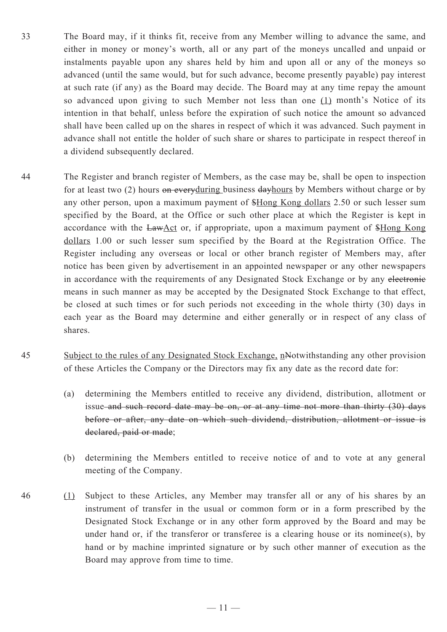- 33 The Board may, if it thinks fit, receive from any Member willing to advance the same, and either in money or money's worth, all or any part of the moneys uncalled and unpaid or instalments payable upon any shares held by him and upon all or any of the moneys so advanced (until the same would, but for such advance, become presently payable) pay interest at such rate (if any) as the Board may decide. The Board may at any time repay the amount so advanced upon giving to such Member not less than one (1) month's Notice of its intention in that behalf, unless before the expiration of such notice the amount so advanced shall have been called up on the shares in respect of which it was advanced. Such payment in advance shall not entitle the holder of such share or shares to participate in respect thereof in a dividend subsequently declared.
- 44 The Register and branch register of Members, as the case may be, shall be open to inspection for at least two (2) hours on everyduring business day hours by Members without charge or by any other person, upon a maximum payment of \$Hong Kong dollars 2.50 or such lesser sum specified by the Board, at the Office or such other place at which the Register is kept in accordance with the LawAct or, if appropriate, upon a maximum payment of \$Hong Kong dollars 1.00 or such lesser sum specified by the Board at the Registration Office. The Register including any overseas or local or other branch register of Members may, after notice has been given by advertisement in an appointed newspaper or any other newspapers in accordance with the requirements of any Designated Stock Exchange or by any electronic means in such manner as may be accepted by the Designated Stock Exchange to that effect, be closed at such times or for such periods not exceeding in the whole thirty (30) days in each year as the Board may determine and either generally or in respect of any class of shares.
- 45 Subject to the rules of any Designated Stock Exchange, nNotwithstanding any other provision of these Articles the Company or the Directors may fix any date as the record date for:
	- (a) determining the Members entitled to receive any dividend, distribution, allotment or issue and such record date may be on, or at any time not more than thirty (30) days before or after, any date on which such dividend, distribution, allotment or issue is declared, paid or made;
	- (b) determining the Members entitled to receive notice of and to vote at any general meeting of the Company.
- 46 (1) Subject to these Articles, any Member may transfer all or any of his shares by an instrument of transfer in the usual or common form or in a form prescribed by the Designated Stock Exchange or in any other form approved by the Board and may be under hand or, if the transferor or transferee is a clearing house or its nominee(s), by hand or by machine imprinted signature or by such other manner of execution as the Board may approve from time to time.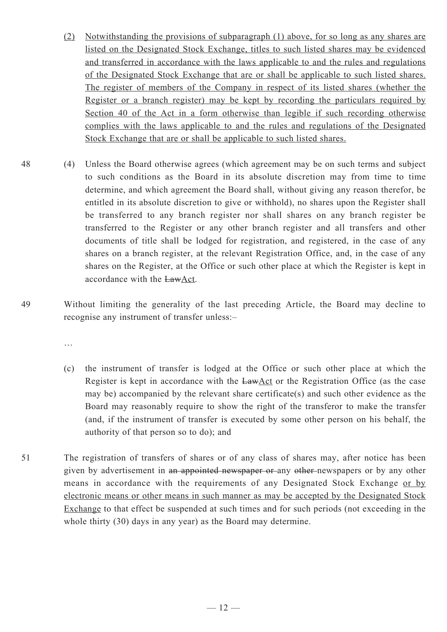- (2) Notwithstanding the provisions of subparagraph (1) above, for so long as any shares are listed on the Designated Stock Exchange, titles to such listed shares may be evidenced and transferred in accordance with the laws applicable to and the rules and regulations of the Designated Stock Exchange that are or shall be applicable to such listed shares. The register of members of the Company in respect of its listed shares (whether the Register or a branch register) may be kept by recording the particulars required by Section 40 of the Act in a form otherwise than legible if such recording otherwise complies with the laws applicable to and the rules and regulations of the Designated Stock Exchange that are or shall be applicable to such listed shares.
- 48 (4) Unless the Board otherwise agrees (which agreement may be on such terms and subject to such conditions as the Board in its absolute discretion may from time to time determine, and which agreement the Board shall, without giving any reason therefor, be entitled in its absolute discretion to give or withhold), no shares upon the Register shall be transferred to any branch register nor shall shares on any branch register be transferred to the Register or any other branch register and all transfers and other documents of title shall be lodged for registration, and registered, in the case of any shares on a branch register, at the relevant Registration Office, and, in the case of any shares on the Register, at the Office or such other place at which the Register is kept in accordance with the LawAct.
- 49 Without limiting the generality of the last preceding Article, the Board may decline to recognise any instrument of transfer unless:–

- (c) the instrument of transfer is lodged at the Office or such other place at which the Register is kept in accordance with the LawAct or the Registration Office (as the case may be) accompanied by the relevant share certificate(s) and such other evidence as the Board may reasonably require to show the right of the transferor to make the transfer (and, if the instrument of transfer is executed by some other person on his behalf, the authority of that person so to do); and
- 51 The registration of transfers of shares or of any class of shares may, after notice has been given by advertisement in an appointed newspaper or any other newspapers or by any other means in accordance with the requirements of any Designated Stock Exchange or by electronic means or other means in such manner as may be accepted by the Designated Stock Exchange to that effect be suspended at such times and for such periods (not exceeding in the whole thirty (30) days in any year) as the Board may determine.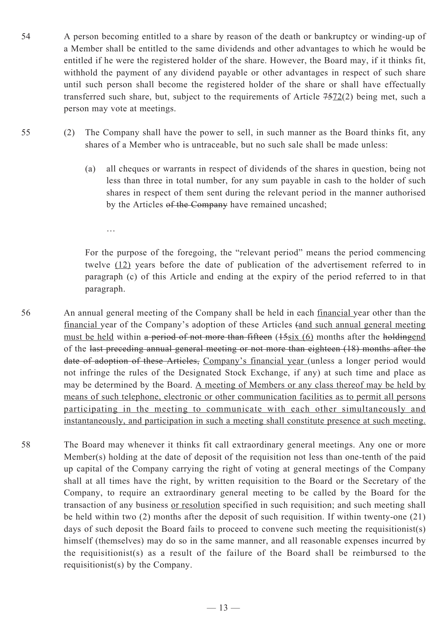- 54 A person becoming entitled to a share by reason of the death or bankruptcy or winding-up of a Member shall be entitled to the same dividends and other advantages to which he would be entitled if he were the registered holder of the share. However, the Board may, if it thinks fit, withhold the payment of any dividend payable or other advantages in respect of such share until such person shall become the registered holder of the share or shall have effectually transferred such share, but, subject to the requirements of Article 7572(2) being met, such a person may vote at meetings.
- 55 (2) The Company shall have the power to sell, in such manner as the Board thinks fit, any shares of a Member who is untraceable, but no such sale shall be made unless:
	- (a) all cheques or warrants in respect of dividends of the shares in question, being not less than three in total number, for any sum payable in cash to the holder of such shares in respect of them sent during the relevant period in the manner authorised by the Articles of the Company have remained uncashed;

For the purpose of the foregoing, the "relevant period" means the period commencing twelve (12) years before the date of publication of the advertisement referred to in paragraph (c) of this Article and ending at the expiry of the period referred to in that paragraph.

56 An annual general meeting of the Company shall be held in each financial year other than the financial year of the Company's adoption of these Articles (and such annual general meeting must be held within a period of not more than fifteen (15six (6) months after the holdingend of the last preceding annual general meeting or not more than eighteen (18) months after the date of adoption of these Articles, Company's financial year (unless a longer period would not infringe the rules of the Designated Stock Exchange, if any) at such time and place as may be determined by the Board. A meeting of Members or any class thereof may be held by means of such telephone, electronic or other communication facilities as to permit all persons participating in the meeting to communicate with each other simultaneously and instantaneously, and participation in such a meeting shall constitute presence at such meeting.

58 The Board may whenever it thinks fit call extraordinary general meetings. Any one or more Member(s) holding at the date of deposit of the requisition not less than one-tenth of the paid up capital of the Company carrying the right of voting at general meetings of the Company shall at all times have the right, by written requisition to the Board or the Secretary of the Company, to require an extraordinary general meeting to be called by the Board for the transaction of any business or resolution specified in such requisition; and such meeting shall be held within two (2) months after the deposit of such requisition. If within twenty-one (21) days of such deposit the Board fails to proceed to convene such meeting the requisitionist(s) himself (themselves) may do so in the same manner, and all reasonable expenses incurred by the requisitionist(s) as a result of the failure of the Board shall be reimbursed to the requisitionist(s) by the Company.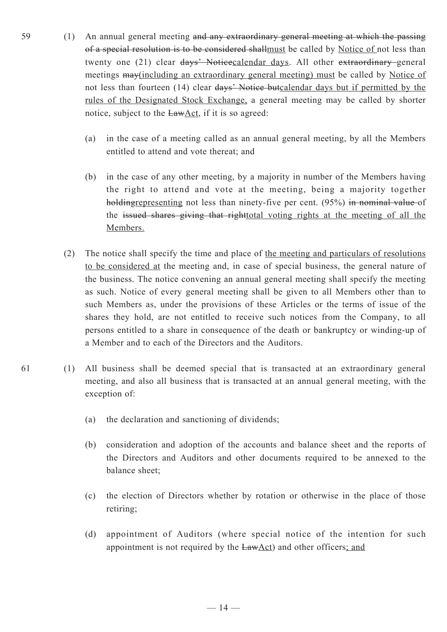- 59 (1) An annual general meeting and any extraordinary general meeting at which the passing of a special resolution is to be considered shallmust be called by Notice of not less than twenty one (21) clear days' Noticecalendar days. All other extraordinary general meetings may(including an extraordinary general meeting) must be called by Notice of not less than fourteen (14) clear days' Notice butcalendar days but if permitted by the rules of the Designated Stock Exchange, a general meeting may be called by shorter notice, subject to the LawAct, if it is so agreed:
	- (a) in the case of a meeting called as an annual general meeting, by all the Members entitled to attend and vote thereat; and
	- (b) in the case of any other meeting, by a majority in number of the Members having the right to attend and vote at the meeting, being a majority together holdingrepresenting not less than ninety-five per cent. (95%) in nominal value of the issued shares giving that righttotal voting rights at the meeting of all the Members.
	- (2) The notice shall specify the time and place of the meeting and particulars of resolutions to be considered at the meeting and, in case of special business, the general nature of the business. The notice convening an annual general meeting shall specify the meeting as such. Notice of every general meeting shall be given to all Members other than to such Members as, under the provisions of these Articles or the terms of issue of the shares they hold, are not entitled to receive such notices from the Company, to all persons entitled to a share in consequence of the death or bankruptcy or winding-up of a Member and to each of the Directors and the Auditors.
- 61 (1) All business shall be deemed special that is transacted at an extraordinary general meeting, and also all business that is transacted at an annual general meeting, with the exception of:
	- (a) the declaration and sanctioning of dividends;
	- (b) consideration and adoption of the accounts and balance sheet and the reports of the Directors and Auditors and other documents required to be annexed to the balance sheet;
	- (c) the election of Directors whether by rotation or otherwise in the place of those retiring;
	- (d) appointment of Auditors (where special notice of the intention for such appointment is not required by the LawAct) and other officers; and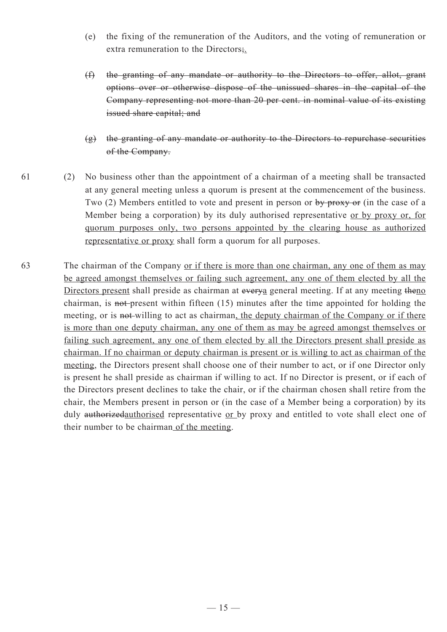- (e) the fixing of the remuneration of the Auditors, and the voting of remuneration or extra remuneration to the Directors;.
- (f) the granting of any mandate or authority to the Directors to offer, allot, grant options over or otherwise dispose of the unissued shares in the capital of the Company representing not more than 20 per cent. in nominal value of its existing issued share capital; and
- $(g)$  the granting of any mandate or authority to the Directors to repurchase securities of the Company.
- 61 (2) No business other than the appointment of a chairman of a meeting shall be transacted at any general meeting unless a quorum is present at the commencement of the business. Two (2) Members entitled to vote and present in person or by proxy or (in the case of a Member being a corporation) by its duly authorised representative or by proxy or, for quorum purposes only, two persons appointed by the clearing house as authorized representative or proxy shall form a quorum for all purposes.
- 63 The chairman of the Company <u>or if there is more than one chairman</u>, any one of them as may be agreed amongst themselves or failing such agreement, any one of them elected by all the Directors present shall preside as chairman at everya general meeting. If at any meeting theno chairman, is not present within fifteen (15) minutes after the time appointed for holding the meeting, or is not-willing to act as chairman, the deputy chairman of the Company or if there is more than one deputy chairman, any one of them as may be agreed amongst themselves or failing such agreement, any one of them elected by all the Directors present shall preside as chairman. If no chairman or deputy chairman is present or is willing to act as chairman of the meeting, the Directors present shall choose one of their number to act, or if one Director only is present he shall preside as chairman if willing to act. If no Director is present, or if each of the Directors present declines to take the chair, or if the chairman chosen shall retire from the chair, the Members present in person or (in the case of a Member being a corporation) by its duly authorizedauthorised representative or by proxy and entitled to vote shall elect one of their number to be chairman of the meeting.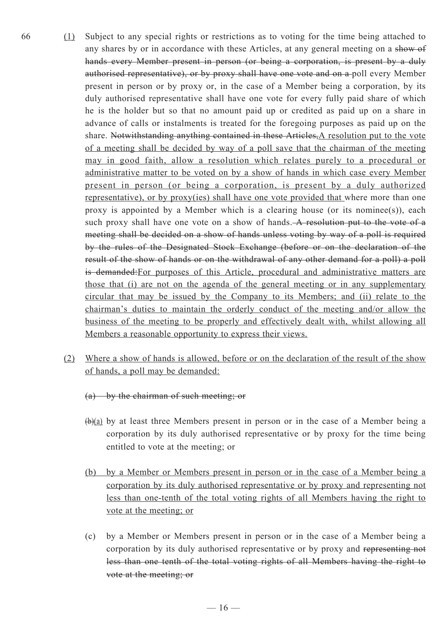- 66 (1) Subject to any special rights or restrictions as to voting for the time being attached to any shares by or in accordance with these Articles, at any general meeting on a show of hands every Member present in person (or being a corporation, is present by a duly authorised representative), or by proxy shall have one vote and on a poll every Member present in person or by proxy or, in the case of a Member being a corporation, by its duly authorised representative shall have one vote for every fully paid share of which he is the holder but so that no amount paid up or credited as paid up on a share in advance of calls or instalments is treated for the foregoing purposes as paid up on the share. Notwithstanding anything contained in these Articles, A resolution put to the vote of a meeting shall be decided by way of a poll save that the chairman of the meeting may in good faith, allow a resolution which relates purely to a procedural or administrative matter to be voted on by a show of hands in which case every Member present in person (or being a corporation, is present by a duly authorized representative), or by proxy(ies) shall have one vote provided that where more than one proxy is appointed by a Member which is a clearing house (or its nominee(s)), each such proxy shall have one vote on a show of hands. A resolution put to the vote of a meeting shall be decided on a show of hands unless voting by way of a poll is required by the rules of the Designated Stock Exchange (before or on the declaration of the result of the show of hands or on the withdrawal of any other demand for a poll) a poll is demanded:For purposes of this Article, procedural and administrative matters are those that (i) are not on the agenda of the general meeting or in any supplementary circular that may be issued by the Company to its Members; and (ii) relate to the chairman's duties to maintain the orderly conduct of the meeting and/or allow the business of the meeting to be properly and effectively dealt with, whilst allowing all Members a reasonable opportunity to express their views.
	- (2) Where a show of hands is allowed, before or on the declaration of the result of the show of hands, a poll may be demanded:
		- (a) by the chairman of such meeting; or
		- $(b)(a)$  by at least three Members present in person or in the case of a Member being a corporation by its duly authorised representative or by proxy for the time being entitled to vote at the meeting; or
		- (b) by a Member or Members present in person or in the case of a Member being a corporation by its duly authorised representative or by proxy and representing not less than one-tenth of the total voting rights of all Members having the right to vote at the meeting; or
		- (c) by a Member or Members present in person or in the case of a Member being a corporation by its duly authorised representative or by proxy and representing not less than one tenth of the total voting rights of all Members having the right to vote at the meeting; or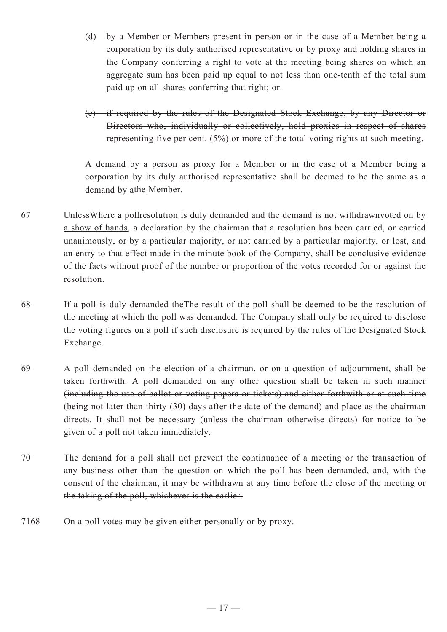- (d) by a Member or Members present in person or in the case of a Member being a corporation by its duly authorised representative or by proxy and holding shares in the Company conferring a right to vote at the meeting being shares on which an aggregate sum has been paid up equal to not less than one-tenth of the total sum paid up on all shares conferring that right; or.
- (e) if required by the rules of the Designated Stock Exchange, by any Director or Directors who, individually or collectively, hold proxies in respect of shares representing five per cent. (5%) or more of the total voting rights at such meeting.

A demand by a person as proxy for a Member or in the case of a Member being a corporation by its duly authorised representative shall be deemed to be the same as a demand by athe Member.

- 67 UnlessWhere a pollresolution is duly demanded and the demand is not withdrawnvoted on by a show of hands, a declaration by the chairman that a resolution has been carried, or carried unanimously, or by a particular majority, or not carried by a particular majority, or lost, and an entry to that effect made in the minute book of the Company, shall be conclusive evidence of the facts without proof of the number or proportion of the votes recorded for or against the resolution.
- 68 If a poll is duly demanded the The result of the poll shall be deemed to be the resolution of the meeting at which the poll was demanded. The Company shall only be required to disclose the voting figures on a poll if such disclosure is required by the rules of the Designated Stock Exchange.
- 69 A poll demanded on the election of a chairman, or on a question of adjournment, shall be taken forthwith. A poll demanded on any other question shall be taken in such manner (including the use of ballot or voting papers or tickets) and either forthwith or at such time (being not later than thirty (30) days after the date of the demand) and place as the chairman directs. It shall not be necessary (unless the chairman otherwise directs) for notice to be given of a poll not taken immediately.
- 70 The demand for a poll shall not prevent the continuance of a meeting or the transaction of any business other than the question on which the poll has been demanded, and, with the consent of the chairman, it may be withdrawn at any time before the close of the meeting or the taking of the poll, whichever is the earlier.
- 7468 On a poll votes may be given either personally or by proxy.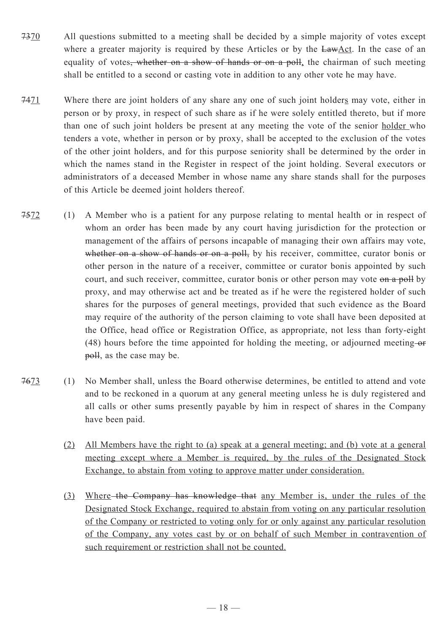- 7370 All questions submitted to a meeting shall be decided by a simple majority of votes except where a greater majority is required by these Articles or by the  $\frac{\text{LawAct}}{\text{Aut}}$ . In the case of an equality of votes<del>, whether on a show of hands or on a poll</del>, the chairman of such meeting shall be entitled to a second or casting vote in addition to any other vote he may have.
- 7471 Where there are joint holders of any share any one of such joint holders may vote, either in person or by proxy, in respect of such share as if he were solely entitled thereto, but if more than one of such joint holders be present at any meeting the vote of the senior holder who tenders a vote, whether in person or by proxy, shall be accepted to the exclusion of the votes of the other joint holders, and for this purpose seniority shall be determined by the order in which the names stand in the Register in respect of the joint holding. Several executors or administrators of a deceased Member in whose name any share stands shall for the purposes of this Article be deemed joint holders thereof.
- 7572 (1) A Member who is a patient for any purpose relating to mental health or in respect of whom an order has been made by any court having jurisdiction for the protection or management of the affairs of persons incapable of managing their own affairs may vote, whether on a show of hands or on a poll, by his receiver, committee, curator bonis or other person in the nature of a receiver, committee or curator bonis appointed by such court, and such receiver, committee, curator bonis or other person may vote on a poll by proxy, and may otherwise act and be treated as if he were the registered holder of such shares for the purposes of general meetings, provided that such evidence as the Board may require of the authority of the person claiming to vote shall have been deposited at the Office, head office or Registration Office, as appropriate, not less than forty-eight  $(48)$  hours before the time appointed for holding the meeting, or adjourned meeting-or poll, as the case may be.
- 7673 (1) No Member shall, unless the Board otherwise determines, be entitled to attend and vote and to be reckoned in a quorum at any general meeting unless he is duly registered and all calls or other sums presently payable by him in respect of shares in the Company have been paid.
	- (2) All Members have the right to (a) speak at a general meeting; and (b) vote at a general meeting except where a Member is required, by the rules of the Designated Stock Exchange, to abstain from voting to approve matter under consideration.
	- (3) Where the Company has knowledge that any Member is, under the rules of the Designated Stock Exchange, required to abstain from voting on any particular resolution of the Company or restricted to voting only for or only against any particular resolution of the Company, any votes cast by or on behalf of such Member in contravention of such requirement or restriction shall not be counted.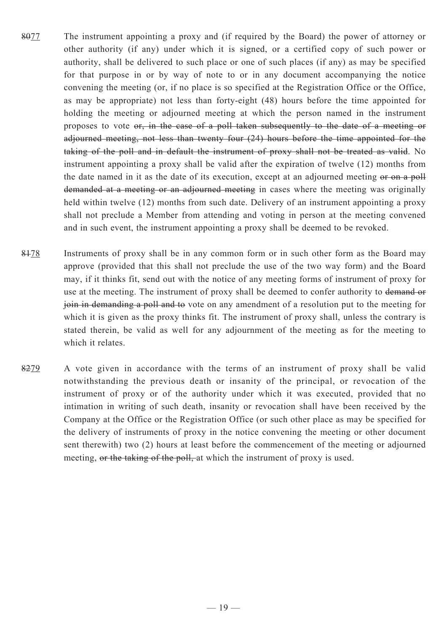- 8077 The instrument appointing a proxy and (if required by the Board) the power of attorney or other authority (if any) under which it is signed, or a certified copy of such power or authority, shall be delivered to such place or one of such places (if any) as may be specified for that purpose in or by way of note to or in any document accompanying the notice convening the meeting (or, if no place is so specified at the Registration Office or the Office, as may be appropriate) not less than forty-eight (48) hours before the time appointed for holding the meeting or adjourned meeting at which the person named in the instrument proposes to vote or, in the case of a poll taken subsequently to the date of a meeting or adjourned meeting, not less than twenty four (24) hours before the time appointed for the taking of the poll and in default the instrument of proxy shall not be treated as valid. No instrument appointing a proxy shall be valid after the expiration of twelve (12) months from the date named in it as the date of its execution, except at an adjourned meeting or on a poll demanded at a meeting or an adjourned meeting in cases where the meeting was originally held within twelve (12) months from such date. Delivery of an instrument appointing a proxy shall not preclude a Member from attending and voting in person at the meeting convened and in such event, the instrument appointing a proxy shall be deemed to be revoked.
- 8478 Instruments of proxy shall be in any common form or in such other form as the Board may approve (provided that this shall not preclude the use of the two way form) and the Board may, if it thinks fit, send out with the notice of any meeting forms of instrument of proxy for use at the meeting. The instrument of proxy shall be deemed to confer authority to demand or join in demanding a poll and to vote on any amendment of a resolution put to the meeting for which it is given as the proxy thinks fit. The instrument of proxy shall, unless the contrary is stated therein, be valid as well for any adjournment of the meeting as for the meeting to which it relates.
- 8279 A vote given in accordance with the terms of an instrument of proxy shall be valid notwithstanding the previous death or insanity of the principal, or revocation of the instrument of proxy or of the authority under which it was executed, provided that no intimation in writing of such death, insanity or revocation shall have been received by the Company at the Office or the Registration Office (or such other place as may be specified for the delivery of instruments of proxy in the notice convening the meeting or other document sent therewith) two (2) hours at least before the commencement of the meeting or adjourned meeting, or the taking of the poll, at which the instrument of proxy is used.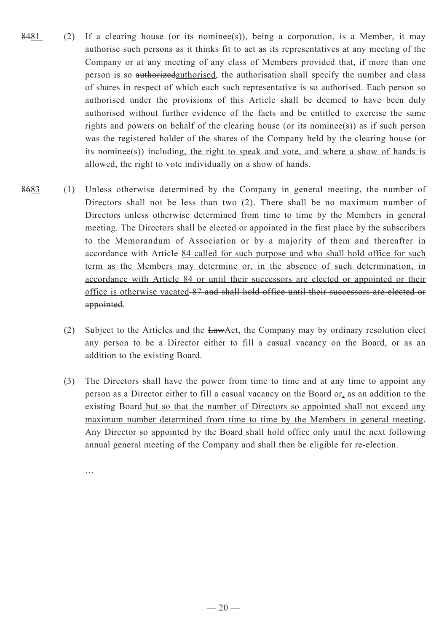- $8481$  (2) If a clearing house (or its nominee(s)), being a corporation, is a Member, it may authorise such persons as it thinks fit to act as its representatives at any meeting of the Company or at any meeting of any class of Members provided that, if more than one person is so authorizedauthorised, the authorisation shall specify the number and class of shares in respect of which each such representative is so authorised. Each person so authorised under the provisions of this Article shall be deemed to have been duly authorised without further evidence of the facts and be entitled to exercise the same rights and powers on behalf of the clearing house (or its nominee(s)) as if such person was the registered holder of the shares of the Company held by the clearing house (or its nominee(s)) including, the right to speak and vote, and where a show of hands is allowed, the right to vote individually on a show of hands.
- 8683 (1) Unless otherwise determined by the Company in general meeting, the number of Directors shall not be less than two (2). There shall be no maximum number of Directors unless otherwise determined from time to time by the Members in general meeting. The Directors shall be elected or appointed in the first place by the subscribers to the Memorandum of Association or by a majority of them and thereafter in accordance with Article 84 called for such purpose and who shall hold office for such term as the Members may determine or, in the absence of such determination, in accordance with Article 84 or until their successors are elected or appointed or their office is otherwise vacated 87 and shall hold office until their successors are elected or appointed.
	- (2) Subject to the Articles and the  $\frac{\text{LawAct}}{\text{Act}}$ , the Company may by ordinary resolution elect any person to be a Director either to fill a casual vacancy on the Board, or as an addition to the existing Board.
	- (3) The Directors shall have the power from time to time and at any time to appoint any person as a Director either to fill a casual vacancy on the Board or, as an addition to the existing Board but so that the number of Directors so appointed shall not exceed any maximum number determined from time to time by the Members in general meeting. Any Director so appointed by the Board shall hold office only until the next following annual general meeting of the Company and shall then be eligible for re-election.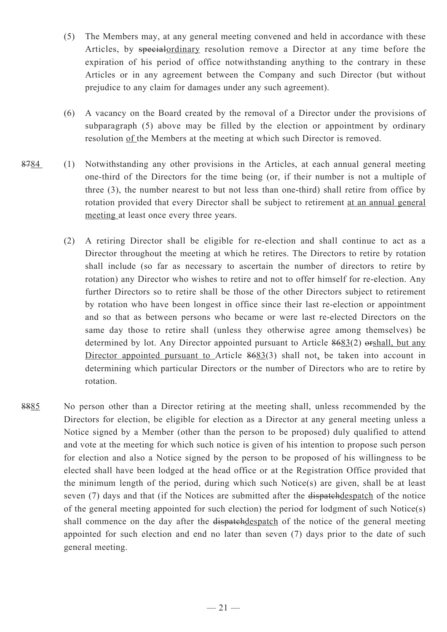- (5) The Members may, at any general meeting convened and held in accordance with these Articles, by specialordinary resolution remove a Director at any time before the expiration of his period of office notwithstanding anything to the contrary in these Articles or in any agreement between the Company and such Director (but without prejudice to any claim for damages under any such agreement).
- (6) A vacancy on the Board created by the removal of a Director under the provisions of subparagraph (5) above may be filled by the election or appointment by ordinary resolution of the Members at the meeting at which such Director is removed.
- 8784 (1) Notwithstanding any other provisions in the Articles, at each annual general meeting one-third of the Directors for the time being (or, if their number is not a multiple of three (3), the number nearest to but not less than one-third) shall retire from office by rotation provided that every Director shall be subject to retirement at an annual general meeting at least once every three years.
	- (2) A retiring Director shall be eligible for re-election and shall continue to act as a Director throughout the meeting at which he retires. The Directors to retire by rotation shall include (so far as necessary to ascertain the number of directors to retire by rotation) any Director who wishes to retire and not to offer himself for re-election. Any further Directors so to retire shall be those of the other Directors subject to retirement by rotation who have been longest in office since their last re-election or appointment and so that as between persons who became or were last re-elected Directors on the same day those to retire shall (unless they otherwise agree among themselves) be determined by lot. Any Director appointed pursuant to Article 8683(2) orshall, but any Director appointed pursuant to Article 8683(3) shall not, be taken into account in determining which particular Directors or the number of Directors who are to retire by rotation.
- 8885 No person other than a Director retiring at the meeting shall, unless recommended by the Directors for election, be eligible for election as a Director at any general meeting unless a Notice signed by a Member (other than the person to be proposed) duly qualified to attend and vote at the meeting for which such notice is given of his intention to propose such person for election and also a Notice signed by the person to be proposed of his willingness to be elected shall have been lodged at the head office or at the Registration Office provided that the minimum length of the period, during which such Notice(s) are given, shall be at least seven (7) days and that (if the Notices are submitted after the dispatchdespatch of the notice of the general meeting appointed for such election) the period for lodgment of such Notice(s) shall commence on the day after the dispatchdespatch of the notice of the general meeting appointed for such election and end no later than seven (7) days prior to the date of such general meeting.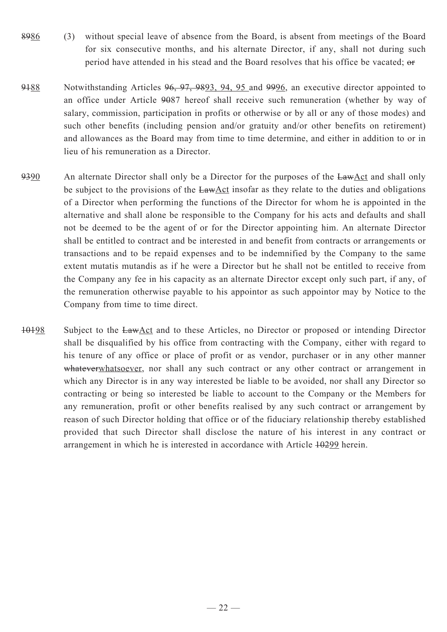- 8986 (3) without special leave of absence from the Board, is absent from meetings of the Board for six consecutive months, and his alternate Director, if any, shall not during such period have attended in his stead and the Board resolves that his office be vacated; or
- 9188 Notwithstanding Articles 96, 97, 9893, 94, 95 and 9996, an executive director appointed to an office under Article 9087 hereof shall receive such remuneration (whether by way of salary, commission, participation in profits or otherwise or by all or any of those modes) and such other benefits (including pension and/or gratuity and/or other benefits on retirement) and allowances as the Board may from time to time determine, and either in addition to or in lieu of his remuneration as a Director.
- 9390 An alternate Director shall only be a Director for the purposes of the LawAct and shall only be subject to the provisions of the LawAct insofar as they relate to the duties and obligations of a Director when performing the functions of the Director for whom he is appointed in the alternative and shall alone be responsible to the Company for his acts and defaults and shall not be deemed to be the agent of or for the Director appointing him. An alternate Director shall be entitled to contract and be interested in and benefit from contracts or arrangements or transactions and to be repaid expenses and to be indemnified by the Company to the same extent mutatis mutandis as if he were a Director but he shall not be entitled to receive from the Company any fee in his capacity as an alternate Director except only such part, if any, of the remuneration otherwise payable to his appointor as such appointor may by Notice to the Company from time to time direct.
- 10198 Subject to the LawAct and to these Articles, no Director or proposed or intending Director shall be disqualified by his office from contracting with the Company, either with regard to his tenure of any office or place of profit or as vendor, purchaser or in any other manner whateverwhatsoever, nor shall any such contract or any other contract or arrangement in which any Director is in any way interested be liable to be avoided, nor shall any Director so contracting or being so interested be liable to account to the Company or the Members for any remuneration, profit or other benefits realised by any such contract or arrangement by reason of such Director holding that office or of the fiduciary relationship thereby established provided that such Director shall disclose the nature of his interest in any contract or arrangement in which he is interested in accordance with Article  $10299$  herein.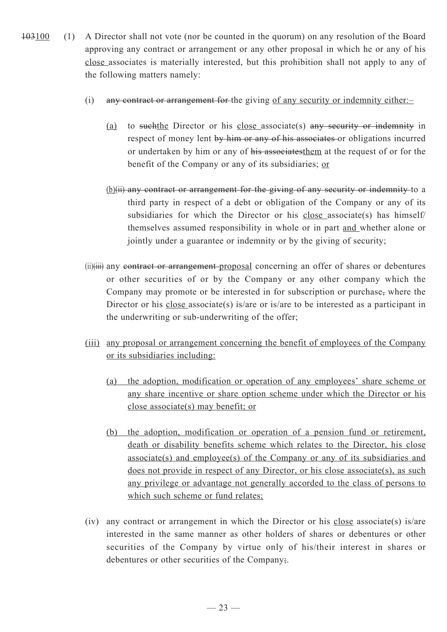- 103100 (1) A Director shall not vote (nor be counted in the quorum) on any resolution of the Board approving any contract or arrangement or any other proposal in which he or any of his close associates is materially interested, but this prohibition shall not apply to any of the following matters namely:
	- (i) any contract or arrangement for the giving of any security or indemnity either:–
		- (a) to suchthe Director or his close associate(s) any security or indemnity in respect of money lent by him or any of his associates or obligations incurred or undertaken by him or any of his associatesthem at the request of or for the benefit of the Company or any of its subsidiaries; or
		- (b)(ii) any contract or arrangement for the giving of any security or indemnity to a third party in respect of a debt or obligation of the Company or any of its subsidiaries for which the Director or his close associate(s) has himself/ themselves assumed responsibility in whole or in part and whether alone or jointly under a guarantee or indemnity or by the giving of security;
	- (ii)(iii) any contract or arrangement-proposal concerning an offer of shares or debentures or other securities of or by the Company or any other company which the Company may promote or be interested in for subscription or purchase, where the Director or his close associate(s) is/are or is/are to be interested as a participant in the underwriting or sub-underwriting of the offer;
	- (iii) any proposal or arrangement concerning the benefit of employees of the Company or its subsidiaries including:
		- (a) the adoption, modification or operation of any employees' share scheme or any share incentive or share option scheme under which the Director or his close associate(s) may benefit; or
		- (b) the adoption, modification or operation of a pension fund or retirement, death or disability benefits scheme which relates to the Director, his close associate(s) and employee(s) of the Company or any of its subsidiaries and does not provide in respect of any Director, or his close associate(s), as such any privilege or advantage not generally accorded to the class of persons to which such scheme or fund relates;
	- (iv) any contract or arrangement in which the Director or his close associate(s) is/are interested in the same manner as other holders of shares or debentures or other securities of the Company by virtue only of his/their interest in shares or debentures or other securities of the Company;.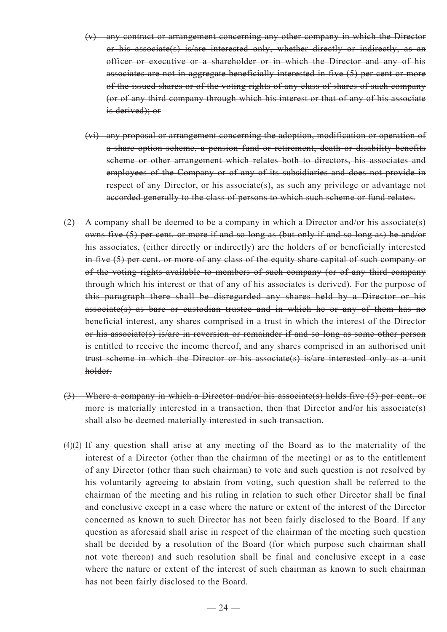- (v) any contract or arrangement concerning any other company in which the Director or his associate(s) is/are interested only, whether directly or indirectly, as an officer or executive or a shareholder or in which the Director and any of his associates are not in aggregate beneficially interested in five (5) per cent or more of the issued shares or of the voting rights of any class of shares of such company (or of any third company through which his interest or that of any of his associate is derived); or
- (vi) any proposal or arrangement concerning the adoption, modification or operation of a share option scheme, a pension fund or retirement, death or disability benefits scheme or other arrangement which relates both to directors, his associates and employees of the Company or of any of its subsidiaries and does not provide in respect of any Director, or his associate(s), as such any privilege or advantage not accorded generally to the class of persons to which such scheme or fund relates.
- $(2)$  A company shall be deemed to be a company in which a Director and/or his associate(s) owns five (5) per cent. or more if and so long as (but only if and so long as) he and/or his associates, (either directly or indirectly) are the holders of or beneficially interested in five (5) per cent. or more of any class of the equity share capital of such company or of the voting rights available to members of such company (or of any third company through which his interest or that of any of his associates is derived). For the purpose of this paragraph there shall be disregarded any shares held by a Director or his associate(s) as bare or custodian trustee and in which he or any of them has no beneficial interest, any shares comprised in a trust in which the interest of the Director or his associate(s) is/are in reversion or remainder if and so long as some other person is entitled to receive the income thereof, and any shares comprised in an authorised unit trust scheme in which the Director or his associate(s) is/are interested only as a unit holder.
- (3) Where a company in which a Director and/or his associate(s) holds five (5) per cent. or more is materially interested in a transaction, then that Director and/or his associate(s) shall also be deemed materially interested in such transaction.
- $(4)(2)$  If any question shall arise at any meeting of the Board as to the materiality of the interest of a Director (other than the chairman of the meeting) or as to the entitlement of any Director (other than such chairman) to vote and such question is not resolved by his voluntarily agreeing to abstain from voting, such question shall be referred to the chairman of the meeting and his ruling in relation to such other Director shall be final and conclusive except in a case where the nature or extent of the interest of the Director concerned as known to such Director has not been fairly disclosed to the Board. If any question as aforesaid shall arise in respect of the chairman of the meeting such question shall be decided by a resolution of the Board (for which purpose such chairman shall not vote thereon) and such resolution shall be final and conclusive except in a case where the nature or extent of the interest of such chairman as known to such chairman has not been fairly disclosed to the Board.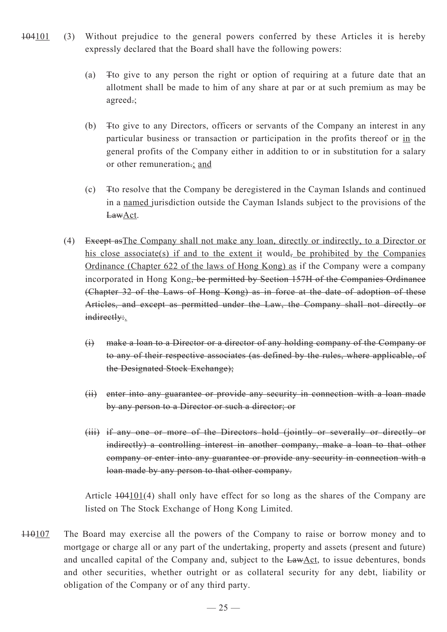- 104101 (3) Without prejudice to the general powers conferred by these Articles it is hereby expressly declared that the Board shall have the following powers:
	- (a) Tto give to any person the right or option of requiring at a future date that an allotment shall be made to him of any share at par or at such premium as may be agreed.;
	- (b) Tto give to any Directors, officers or servants of the Company an interest in any particular business or transaction or participation in the profits thereof or in the general profits of the Company either in addition to or in substitution for a salary or other remuneration.; and
	- (c) Tto resolve that the Company be deregistered in the Cayman Islands and continued in a named jurisdiction outside the Cayman Islands subject to the provisions of the LawAct.
	- (4) Except asThe Company shall not make any loan, directly or indirectly, to a Director or his close associate(s) if and to the extent it would, be prohibited by the Companies Ordinance (Chapter 622 of the laws of Hong Kong) as if the Company were a company incorporated in Hong Kong, be permitted by Section 157H of the Companies Ordinance (Chapter 32 of the Laws of Hong Kong) as in force at the date of adoption of these Articles, and except as permitted under the Law, the Company shall not directly or indirectly:.
		- (i) make a loan to a Director or a director of any holding company of the Company or to any of their respective associates (as defined by the rules, where applicable, of the Designated Stock Exchange);
		- (ii) enter into any guarantee or provide any security in connection with a loan made by any person to a Director or such a director; or
		- (iii) if any one or more of the Directors hold (jointly or severally or directly or indirectly) a controlling interest in another company, make a loan to that other company or enter into any guarantee or provide any security in connection with a loan made by any person to that other company.

Article  $\frac{104101}{4}$  shall only have effect for so long as the shares of the Company are listed on The Stock Exchange of Hong Kong Limited.

110107 The Board may exercise all the powers of the Company to raise or borrow money and to mortgage or charge all or any part of the undertaking, property and assets (present and future) and uncalled capital of the Company and, subject to the LawAct, to issue debentures, bonds and other securities, whether outright or as collateral security for any debt, liability or obligation of the Company or of any third party.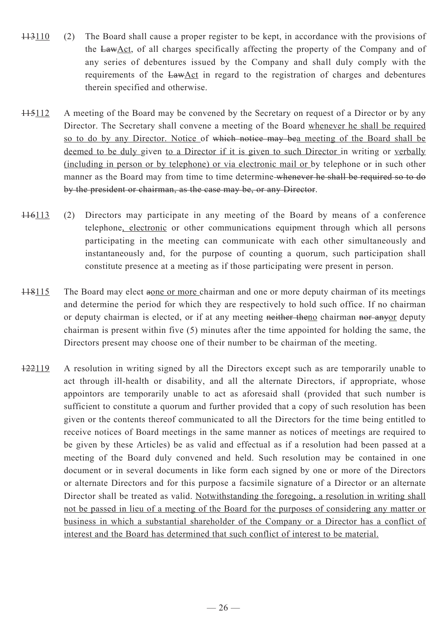- 113110 (2) The Board shall cause a proper register to be kept, in accordance with the provisions of the LawAct, of all charges specifically affecting the property of the Company and of any series of debentures issued by the Company and shall duly comply with the requirements of the LawAct in regard to the registration of charges and debentures therein specified and otherwise.
- 115112 A meeting of the Board may be convened by the Secretary on request of a Director or by any Director. The Secretary shall convene a meeting of the Board whenever he shall be required so to do by any Director. Notice of which notice may bea meeting of the Board shall be deemed to be duly given to a Director if it is given to such Director in writing or verbally (including in person or by telephone) or via electronic mail or by telephone or in such other manner as the Board may from time to time determine-whenever he shall be required so to do by the president or chairman, as the case may be, or any Director.
- 116113 (2) Directors may participate in any meeting of the Board by means of a conference telephone, electronic or other communications equipment through which all persons participating in the meeting can communicate with each other simultaneously and instantaneously and, for the purpose of counting a quorum, such participation shall constitute presence at a meeting as if those participating were present in person.
- 118115 The Board may elect aone or more chairman and one or more deputy chairman of its meetings and determine the period for which they are respectively to hold such office. If no chairman or deputy chairman is elected, or if at any meeting neither theno chairman nor anyor deputy chairman is present within five (5) minutes after the time appointed for holding the same, the Directors present may choose one of their number to be chairman of the meeting.
- 122119 A resolution in writing signed by all the Directors except such as are temporarily unable to act through ill-health or disability, and all the alternate Directors, if appropriate, whose appointors are temporarily unable to act as aforesaid shall (provided that such number is sufficient to constitute a quorum and further provided that a copy of such resolution has been given or the contents thereof communicated to all the Directors for the time being entitled to receive notices of Board meetings in the same manner as notices of meetings are required to be given by these Articles) be as valid and effectual as if a resolution had been passed at a meeting of the Board duly convened and held. Such resolution may be contained in one document or in several documents in like form each signed by one or more of the Directors or alternate Directors and for this purpose a facsimile signature of a Director or an alternate Director shall be treated as valid. Notwithstanding the foregoing, a resolution in writing shall not be passed in lieu of a meeting of the Board for the purposes of considering any matter or business in which a substantial shareholder of the Company or a Director has a conflict of interest and the Board has determined that such conflict of interest to be material.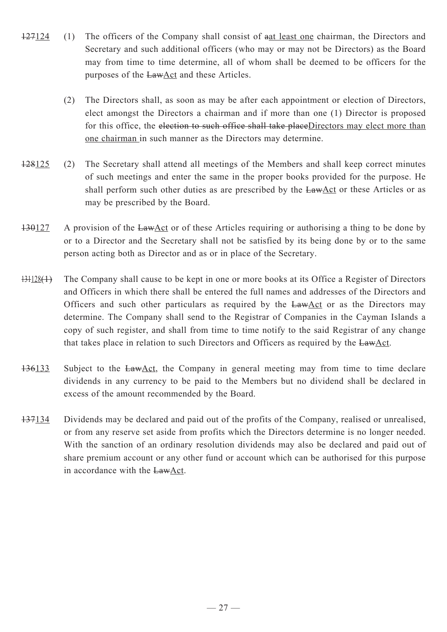- 127124 (1) The officers of the Company shall consist of aat least one chairman, the Directors and Secretary and such additional officers (who may or may not be Directors) as the Board may from time to time determine, all of whom shall be deemed to be officers for the purposes of the LawAct and these Articles.
	- (2) The Directors shall, as soon as may be after each appointment or election of Directors, elect amongst the Directors a chairman and if more than one (1) Director is proposed for this office, the election to such office shall take placeDirectors may elect more than one chairman in such manner as the Directors may determine.
- 128125 (2) The Secretary shall attend all meetings of the Members and shall keep correct minutes of such meetings and enter the same in the proper books provided for the purpose. He shall perform such other duties as are prescribed by the  $LawAct$  or these Articles or as may be prescribed by the Board.
- $130127$  A provision of the LawAct or of these Articles requiring or authorising a thing to be done by or to a Director and the Secretary shall not be satisfied by its being done by or to the same person acting both as Director and as or in place of the Secretary.
- $131128(1)$  The Company shall cause to be kept in one or more books at its Office a Register of Directors and Officers in which there shall be entered the full names and addresses of the Directors and Officers and such other particulars as required by the LawAct or as the Directors may determine. The Company shall send to the Registrar of Companies in the Cayman Islands a copy of such register, and shall from time to time notify to the said Registrar of any change that takes place in relation to such Directors and Officers as required by the LawAct.
- $136133$  Subject to the LawAct, the Company in general meeting may from time to time declare dividends in any currency to be paid to the Members but no dividend shall be declared in excess of the amount recommended by the Board.
- 137134 Dividends may be declared and paid out of the profits of the Company, realised or unrealised, or from any reserve set aside from profits which the Directors determine is no longer needed. With the sanction of an ordinary resolution dividends may also be declared and paid out of share premium account or any other fund or account which can be authorised for this purpose in accordance with the LawAct.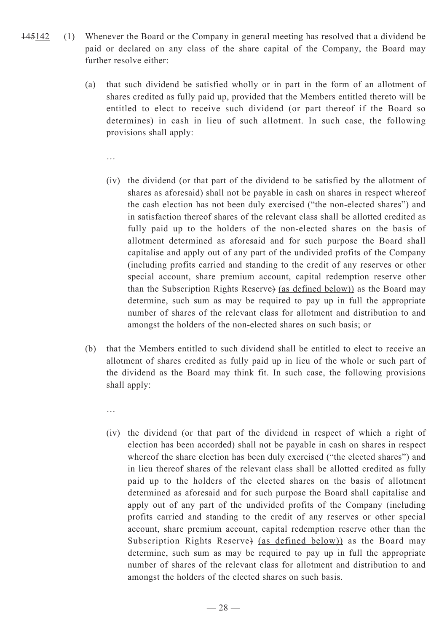- 145142 (1) Whenever the Board or the Company in general meeting has resolved that a dividend be paid or declared on any class of the share capital of the Company, the Board may further resolve either:
	- (a) that such dividend be satisfied wholly or in part in the form of an allotment of shares credited as fully paid up, provided that the Members entitled thereto will be entitled to elect to receive such dividend (or part thereof if the Board so determines) in cash in lieu of such allotment. In such case, the following provisions shall apply:

- (iv) the dividend (or that part of the dividend to be satisfied by the allotment of shares as aforesaid) shall not be payable in cash on shares in respect whereof the cash election has not been duly exercised ("the non-elected shares") and in satisfaction thereof shares of the relevant class shall be allotted credited as fully paid up to the holders of the non-elected shares on the basis of allotment determined as aforesaid and for such purpose the Board shall capitalise and apply out of any part of the undivided profits of the Company (including profits carried and standing to the credit of any reserves or other special account, share premium account, capital redemption reserve other than the Subscription Rights Reserve) (as defined below)) as the Board may determine, such sum as may be required to pay up in full the appropriate number of shares of the relevant class for allotment and distribution to and amongst the holders of the non-elected shares on such basis; or
- (b) that the Members entitled to such dividend shall be entitled to elect to receive an allotment of shares credited as fully paid up in lieu of the whole or such part of the dividend as the Board may think fit. In such case, the following provisions shall apply:
	- …
	- (iv) the dividend (or that part of the dividend in respect of which a right of election has been accorded) shall not be payable in cash on shares in respect whereof the share election has been duly exercised ("the elected shares") and in lieu thereof shares of the relevant class shall be allotted credited as fully paid up to the holders of the elected shares on the basis of allotment determined as aforesaid and for such purpose the Board shall capitalise and apply out of any part of the undivided profits of the Company (including profits carried and standing to the credit of any reserves or other special account, share premium account, capital redemption reserve other than the Subscription Rights Reserve) (as defined below)) as the Board may determine, such sum as may be required to pay up in full the appropriate number of shares of the relevant class for allotment and distribution to and amongst the holders of the elected shares on such basis.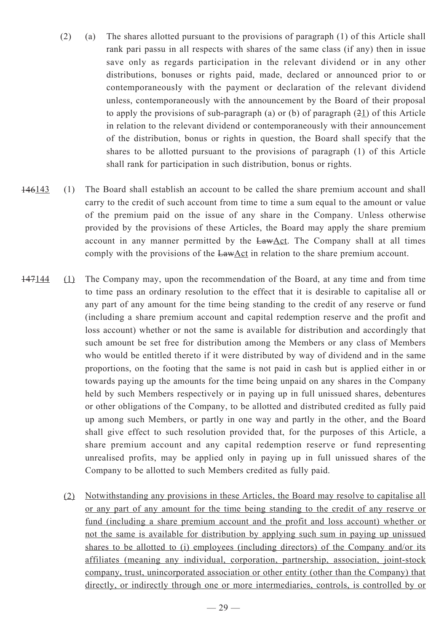- (2) (a) The shares allotted pursuant to the provisions of paragraph (1) of this Article shall rank pari passu in all respects with shares of the same class (if any) then in issue save only as regards participation in the relevant dividend or in any other distributions, bonuses or rights paid, made, declared or announced prior to or contemporaneously with the payment or declaration of the relevant dividend unless, contemporaneously with the announcement by the Board of their proposal to apply the provisions of sub-paragraph (a) or (b) of paragraph  $(21)$  of this Article in relation to the relevant dividend or contemporaneously with their announcement of the distribution, bonus or rights in question, the Board shall specify that the shares to be allotted pursuant to the provisions of paragraph (1) of this Article shall rank for participation in such distribution, bonus or rights.
- 146143 (1) The Board shall establish an account to be called the share premium account and shall carry to the credit of such account from time to time a sum equal to the amount or value of the premium paid on the issue of any share in the Company. Unless otherwise provided by the provisions of these Articles, the Board may apply the share premium account in any manner permitted by the LawAct. The Company shall at all times comply with the provisions of the  $EawAct$  in relation to the share premium account.
- 147144 (1) The Company may, upon the recommendation of the Board, at any time and from time to time pass an ordinary resolution to the effect that it is desirable to capitalise all or any part of any amount for the time being standing to the credit of any reserve or fund (including a share premium account and capital redemption reserve and the profit and loss account) whether or not the same is available for distribution and accordingly that such amount be set free for distribution among the Members or any class of Members who would be entitled thereto if it were distributed by way of dividend and in the same proportions, on the footing that the same is not paid in cash but is applied either in or towards paying up the amounts for the time being unpaid on any shares in the Company held by such Members respectively or in paying up in full unissued shares, debentures or other obligations of the Company, to be allotted and distributed credited as fully paid up among such Members, or partly in one way and partly in the other, and the Board shall give effect to such resolution provided that, for the purposes of this Article, a share premium account and any capital redemption reserve or fund representing unrealised profits, may be applied only in paying up in full unissued shares of the Company to be allotted to such Members credited as fully paid.
	- (2) Notwithstanding any provisions in these Articles, the Board may resolve to capitalise all or any part of any amount for the time being standing to the credit of any reserve or fund (including a share premium account and the profit and loss account) whether or not the same is available for distribution by applying such sum in paying up unissued shares to be allotted to (i) employees (including directors) of the Company and/or its affiliates (meaning any individual, corporation, partnership, association, joint-stock company, trust, unincorporated association or other entity (other than the Company) that directly, or indirectly through one or more intermediaries, controls, is controlled by or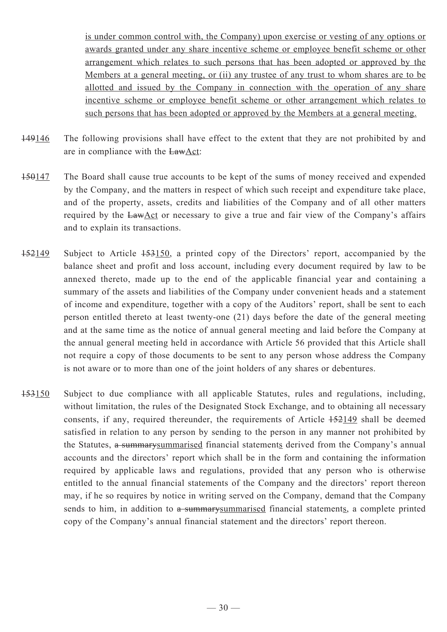is under common control with, the Company) upon exercise or vesting of any options or awards granted under any share incentive scheme or employee benefit scheme or other arrangement which relates to such persons that has been adopted or approved by the Members at a general meeting, or (ii) any trustee of any trust to whom shares are to be allotted and issued by the Company in connection with the operation of any share incentive scheme or employee benefit scheme or other arrangement which relates to such persons that has been adopted or approved by the Members at a general meeting.

- 149146 The following provisions shall have effect to the extent that they are not prohibited by and are in compliance with the LawAct:
- 150147 The Board shall cause true accounts to be kept of the sums of money received and expended by the Company, and the matters in respect of which such receipt and expenditure take place, and of the property, assets, credits and liabilities of the Company and of all other matters required by the LawAct or necessary to give a true and fair view of the Company's affairs and to explain its transactions.
- 152149 Subject to Article 153150, a printed copy of the Directors' report, accompanied by the balance sheet and profit and loss account, including every document required by law to be annexed thereto, made up to the end of the applicable financial year and containing a summary of the assets and liabilities of the Company under convenient heads and a statement of income and expenditure, together with a copy of the Auditors' report, shall be sent to each person entitled thereto at least twenty-one (21) days before the date of the general meeting and at the same time as the notice of annual general meeting and laid before the Company at the annual general meeting held in accordance with Article 56 provided that this Article shall not require a copy of those documents to be sent to any person whose address the Company is not aware or to more than one of the joint holders of any shares or debentures.
- 153150 Subject to due compliance with all applicable Statutes, rules and regulations, including, without limitation, the rules of the Designated Stock Exchange, and to obtaining all necessary consents, if any, required thereunder, the requirements of Article 152149 shall be deemed satisfied in relation to any person by sending to the person in any manner not prohibited by the Statutes, a summary summarised financial statements derived from the Company's annual accounts and the directors' report which shall be in the form and containing the information required by applicable laws and regulations, provided that any person who is otherwise entitled to the annual financial statements of the Company and the directors' report thereon may, if he so requires by notice in writing served on the Company, demand that the Company sends to him, in addition to a summary summarised financial statements, a complete printed copy of the Company's annual financial statement and the directors' report thereon.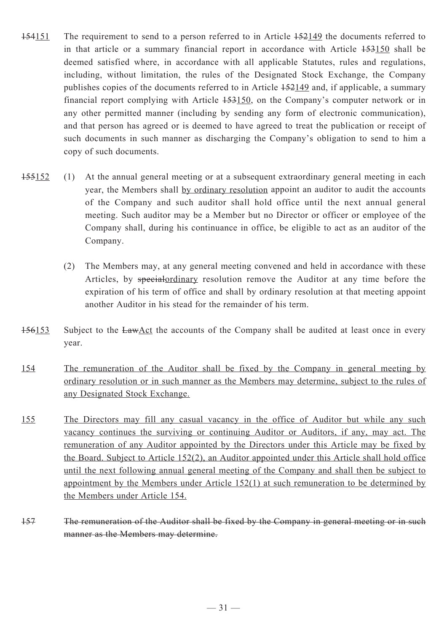- 154151 The requirement to send to a person referred to in Article 152149 the documents referred to in that article or a summary financial report in accordance with Article 153150 shall be deemed satisfied where, in accordance with all applicable Statutes, rules and regulations, including, without limitation, the rules of the Designated Stock Exchange, the Company publishes copies of the documents referred to in Article 152149 and, if applicable, a summary financial report complying with Article 153150, on the Company's computer network or in any other permitted manner (including by sending any form of electronic communication), and that person has agreed or is deemed to have agreed to treat the publication or receipt of such documents in such manner as discharging the Company's obligation to send to him a copy of such documents.
- 155152 (1) At the annual general meeting or at a subsequent extraordinary general meeting in each year, the Members shall by ordinary resolution appoint an auditor to audit the accounts of the Company and such auditor shall hold office until the next annual general meeting. Such auditor may be a Member but no Director or officer or employee of the Company shall, during his continuance in office, be eligible to act as an auditor of the Company.
	- (2) The Members may, at any general meeting convened and held in accordance with these Articles, by specialordinary resolution remove the Auditor at any time before the expiration of his term of office and shall by ordinary resolution at that meeting appoint another Auditor in his stead for the remainder of his term.
- 156153 Subject to the LawAct the accounts of the Company shall be audited at least once in every year.
- 154 The remuneration of the Auditor shall be fixed by the Company in general meeting by ordinary resolution or in such manner as the Members may determine, subject to the rules of any Designated Stock Exchange.
- 155 The Directors may fill any casual vacancy in the office of Auditor but while any such vacancy continues the surviving or continuing Auditor or Auditors, if any, may act. The remuneration of any Auditor appointed by the Directors under this Article may be fixed by the Board. Subject to Article 152(2), an Auditor appointed under this Article shall hold office until the next following annual general meeting of the Company and shall then be subject to appointment by the Members under Article 152(1) at such remuneration to be determined by the Members under Article 154.
- 157 The remuneration of the Auditor shall be fixed by the Company in general meeting or in such manner as the Members may determine.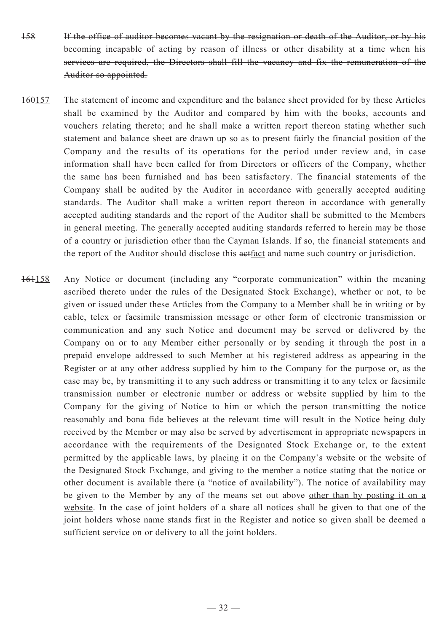- 158 If the office of auditor becomes vacant by the resignation or death of the Auditor, or by his becoming incapable of acting by reason of illness or other disability at a time when his services are required, the Directors shall fill the vacancy and fix the remuneration of the Auditor so appointed.
- 160157 The statement of income and expenditure and the balance sheet provided for by these Articles shall be examined by the Auditor and compared by him with the books, accounts and vouchers relating thereto; and he shall make a written report thereon stating whether such statement and balance sheet are drawn up so as to present fairly the financial position of the Company and the results of its operations for the period under review and, in case information shall have been called for from Directors or officers of the Company, whether the same has been furnished and has been satisfactory. The financial statements of the Company shall be audited by the Auditor in accordance with generally accepted auditing standards. The Auditor shall make a written report thereon in accordance with generally accepted auditing standards and the report of the Auditor shall be submitted to the Members in general meeting. The generally accepted auditing standards referred to herein may be those of a country or jurisdiction other than the Cayman Islands. If so, the financial statements and the report of the Auditor should disclose this aetfact and name such country or jurisdiction.
- 161158 Any Notice or document (including any "corporate communication" within the meaning ascribed thereto under the rules of the Designated Stock Exchange), whether or not, to be given or issued under these Articles from the Company to a Member shall be in writing or by cable, telex or facsimile transmission message or other form of electronic transmission or communication and any such Notice and document may be served or delivered by the Company on or to any Member either personally or by sending it through the post in a prepaid envelope addressed to such Member at his registered address as appearing in the Register or at any other address supplied by him to the Company for the purpose or, as the case may be, by transmitting it to any such address or transmitting it to any telex or facsimile transmission number or electronic number or address or website supplied by him to the Company for the giving of Notice to him or which the person transmitting the notice reasonably and bona fide believes at the relevant time will result in the Notice being duly received by the Member or may also be served by advertisement in appropriate newspapers in accordance with the requirements of the Designated Stock Exchange or, to the extent permitted by the applicable laws, by placing it on the Company's website or the website of the Designated Stock Exchange, and giving to the member a notice stating that the notice or other document is available there (a "notice of availability"). The notice of availability may be given to the Member by any of the means set out above other than by posting it on a website. In the case of joint holders of a share all notices shall be given to that one of the joint holders whose name stands first in the Register and notice so given shall be deemed a sufficient service on or delivery to all the joint holders.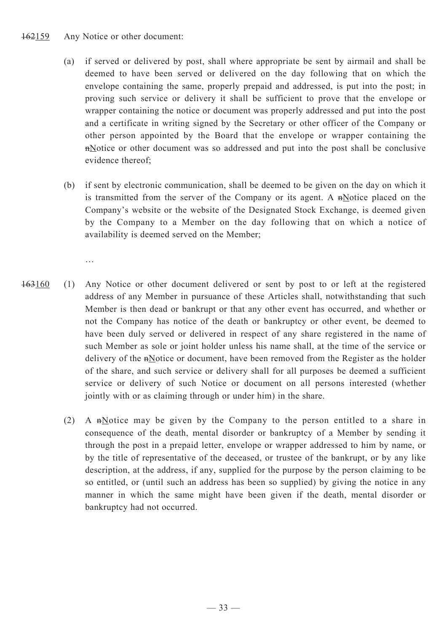#### 162159 Any Notice or other document:

- (a) if served or delivered by post, shall where appropriate be sent by airmail and shall be deemed to have been served or delivered on the day following that on which the envelope containing the same, properly prepaid and addressed, is put into the post; in proving such service or delivery it shall be sufficient to prove that the envelope or wrapper containing the notice or document was properly addressed and put into the post and a certificate in writing signed by the Secretary or other officer of the Company or other person appointed by the Board that the envelope or wrapper containing the nNotice or other document was so addressed and put into the post shall be conclusive evidence thereof;
- (b) if sent by electronic communication, shall be deemed to be given on the day on which it is transmitted from the server of the Company or its agent. A  $n$ Notice placed on the Company's website or the website of the Designated Stock Exchange, is deemed given by the Company to a Member on the day following that on which a notice of availability is deemed served on the Member;
	- …
- 163160 (1) Any Notice or other document delivered or sent by post to or left at the registered address of any Member in pursuance of these Articles shall, notwithstanding that such Member is then dead or bankrupt or that any other event has occurred, and whether or not the Company has notice of the death or bankruptcy or other event, be deemed to have been duly served or delivered in respect of any share registered in the name of such Member as sole or joint holder unless his name shall, at the time of the service or delivery of the nNotice or document, have been removed from the Register as the holder of the share, and such service or delivery shall for all purposes be deemed a sufficient service or delivery of such Notice or document on all persons interested (whether jointly with or as claiming through or under him) in the share.
	- (2) A nNotice may be given by the Company to the person entitled to a share in consequence of the death, mental disorder or bankruptcy of a Member by sending it through the post in a prepaid letter, envelope or wrapper addressed to him by name, or by the title of representative of the deceased, or trustee of the bankrupt, or by any like description, at the address, if any, supplied for the purpose by the person claiming to be so entitled, or (until such an address has been so supplied) by giving the notice in any manner in which the same might have been given if the death, mental disorder or bankruptcy had not occurred.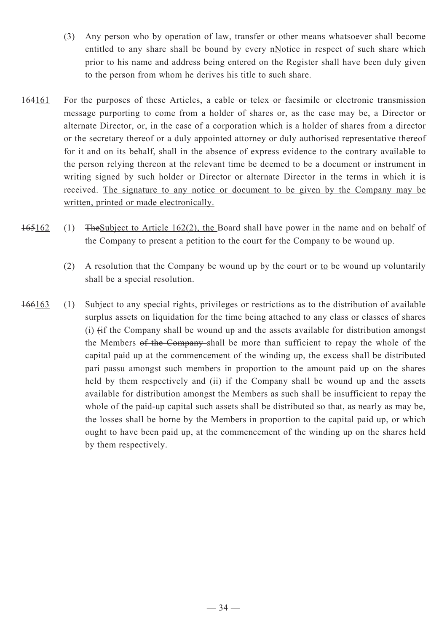- (3) Any person who by operation of law, transfer or other means whatsoever shall become entitled to any share shall be bound by every  $n$ Notice in respect of such share which prior to his name and address being entered on the Register shall have been duly given to the person from whom he derives his title to such share.
- 164161 For the purposes of these Articles, a cable or telex or facsimile or electronic transmission message purporting to come from a holder of shares or, as the case may be, a Director or alternate Director, or, in the case of a corporation which is a holder of shares from a director or the secretary thereof or a duly appointed attorney or duly authorised representative thereof for it and on its behalf, shall in the absence of express evidence to the contrary available to the person relying thereon at the relevant time be deemed to be a document or instrument in writing signed by such holder or Director or alternate Director in the terms in which it is received. The signature to any notice or document to be given by the Company may be written, printed or made electronically.
- 165162 (1) TheSubject to Article 162(2), the Board shall have power in the name and on behalf of the Company to present a petition to the court for the Company to be wound up.
	- (2) A resolution that the Company be wound up by the court or to be wound up voluntarily shall be a special resolution.
- 166163 (1) Subject to any special rights, privileges or restrictions as to the distribution of available surplus assets on liquidation for the time being attached to any class or classes of shares (i) (if the Company shall be wound up and the assets available for distribution amongst the Members of the Company shall be more than sufficient to repay the whole of the capital paid up at the commencement of the winding up, the excess shall be distributed pari passu amongst such members in proportion to the amount paid up on the shares held by them respectively and (ii) if the Company shall be wound up and the assets available for distribution amongst the Members as such shall be insufficient to repay the whole of the paid-up capital such assets shall be distributed so that, as nearly as may be, the losses shall be borne by the Members in proportion to the capital paid up, or which ought to have been paid up, at the commencement of the winding up on the shares held by them respectively.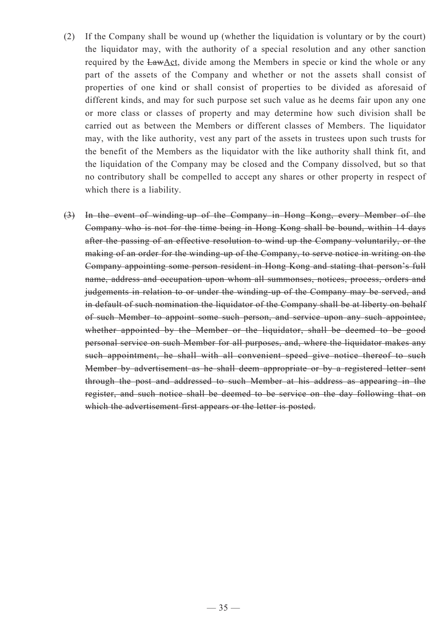- (2) If the Company shall be wound up (whether the liquidation is voluntary or by the court) the liquidator may, with the authority of a special resolution and any other sanction required by the LawAct, divide among the Members in specie or kind the whole or any part of the assets of the Company and whether or not the assets shall consist of properties of one kind or shall consist of properties to be divided as aforesaid of different kinds, and may for such purpose set such value as he deems fair upon any one or more class or classes of property and may determine how such division shall be carried out as between the Members or different classes of Members. The liquidator may, with the like authority, vest any part of the assets in trustees upon such trusts for the benefit of the Members as the liquidator with the like authority shall think fit, and the liquidation of the Company may be closed and the Company dissolved, but so that no contributory shall be compelled to accept any shares or other property in respect of which there is a liability.
- (3) In the event of winding-up of the Company in Hong Kong, every Member of the Company who is not for the time being in Hong Kong shall be bound, within 14 days after the passing of an effective resolution to wind up the Company voluntarily, or the making of an order for the winding-up of the Company, to serve notice in writing on the Company appointing some person resident in Hong Kong and stating that person's full name, address and occupation upon whom all summonses, notices, process, orders and judgements in relation to or under the winding-up of the Company may be served, and in default of such nomination the liquidator of the Company shall be at liberty on behalf of such Member to appoint some such person, and service upon any such appointee, whether appointed by the Member or the liquidator, shall be deemed to be good personal service on such Member for all purposes, and, where the liquidator makes any such appointment, he shall with all convenient speed give notice thereof to such Member by advertisement as he shall deem appropriate or by a registered letter sent through the post and addressed to such Member at his address as appearing in the register, and such notice shall be deemed to be service on the day following that on which the advertisement first appears or the letter is posted.